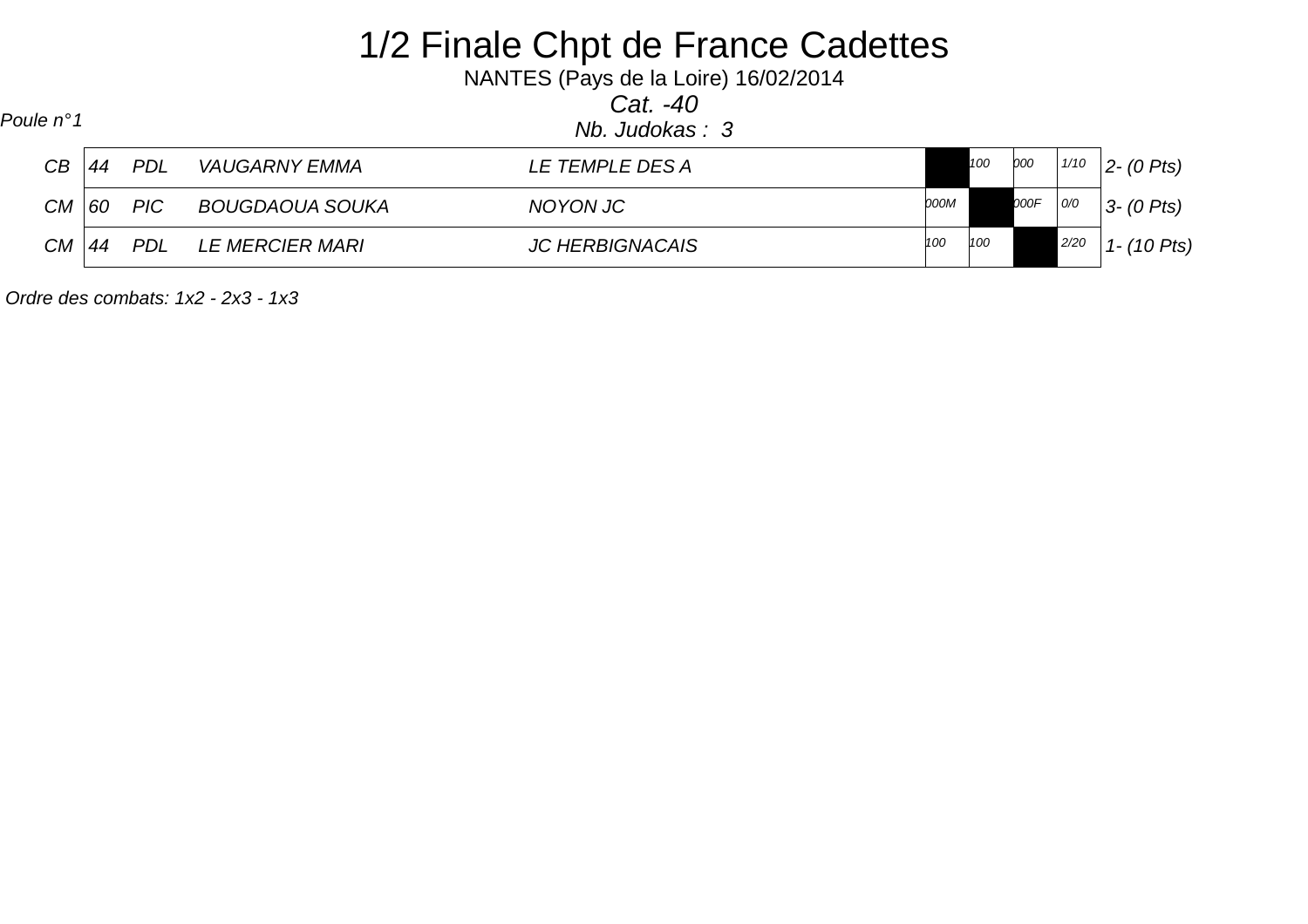| Poule n°1 |    |                  |                        | 1/2 Finale Chpt de France Cadettes<br>NANTES (Pays de la Loire) 16/02/2014<br>Cat. $-40$<br>Nb. Judokas: 3 |      |     |      |      |                  |
|-----------|----|------------------|------------------------|------------------------------------------------------------------------------------------------------------|------|-----|------|------|------------------|
| CB        | 44 | PDL              | VAUGARNY EMMA          | LE TEMPLE DES A                                                                                            |      | 100 | 000  | 1/10 | $ 2-(0 \; P$ ts) |
| $CM$ 60   |    | $\overline{PIC}$ | BOUGDAOUA SOUKA        | NOYON JC                                                                                                   | 000M |     | 000F | O/O  | $3 - (0$ Pts)    |
| CМ        | 44 | PDL              | <i>LE MERCIER MARI</i> | <b>JC HERBIGNACAIS</b>                                                                                     | 100  | 100 |      | 2/20 | $1 - (10$ Pts)   |

Ordre des combats: 1x2 - 2x3 - 1x3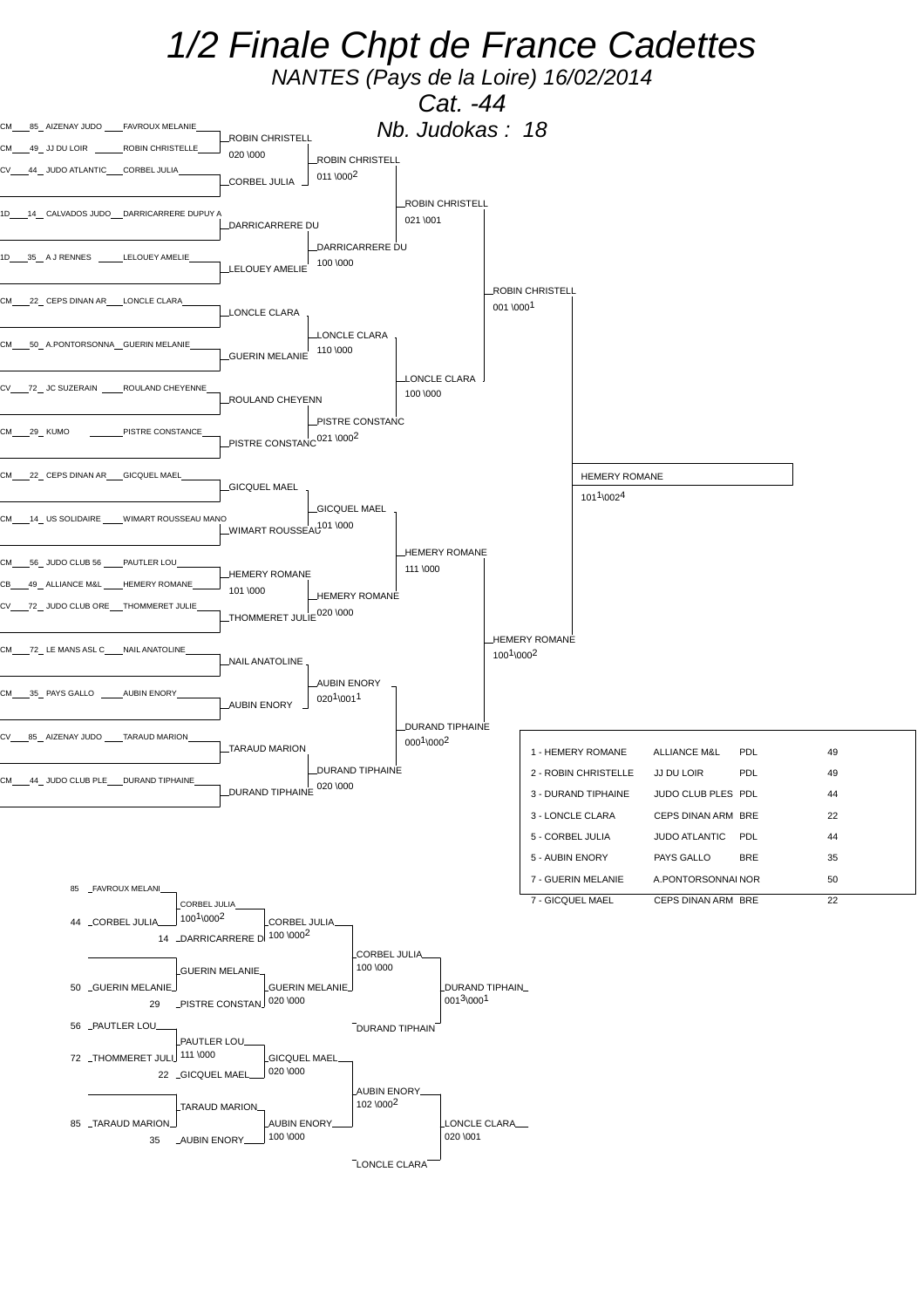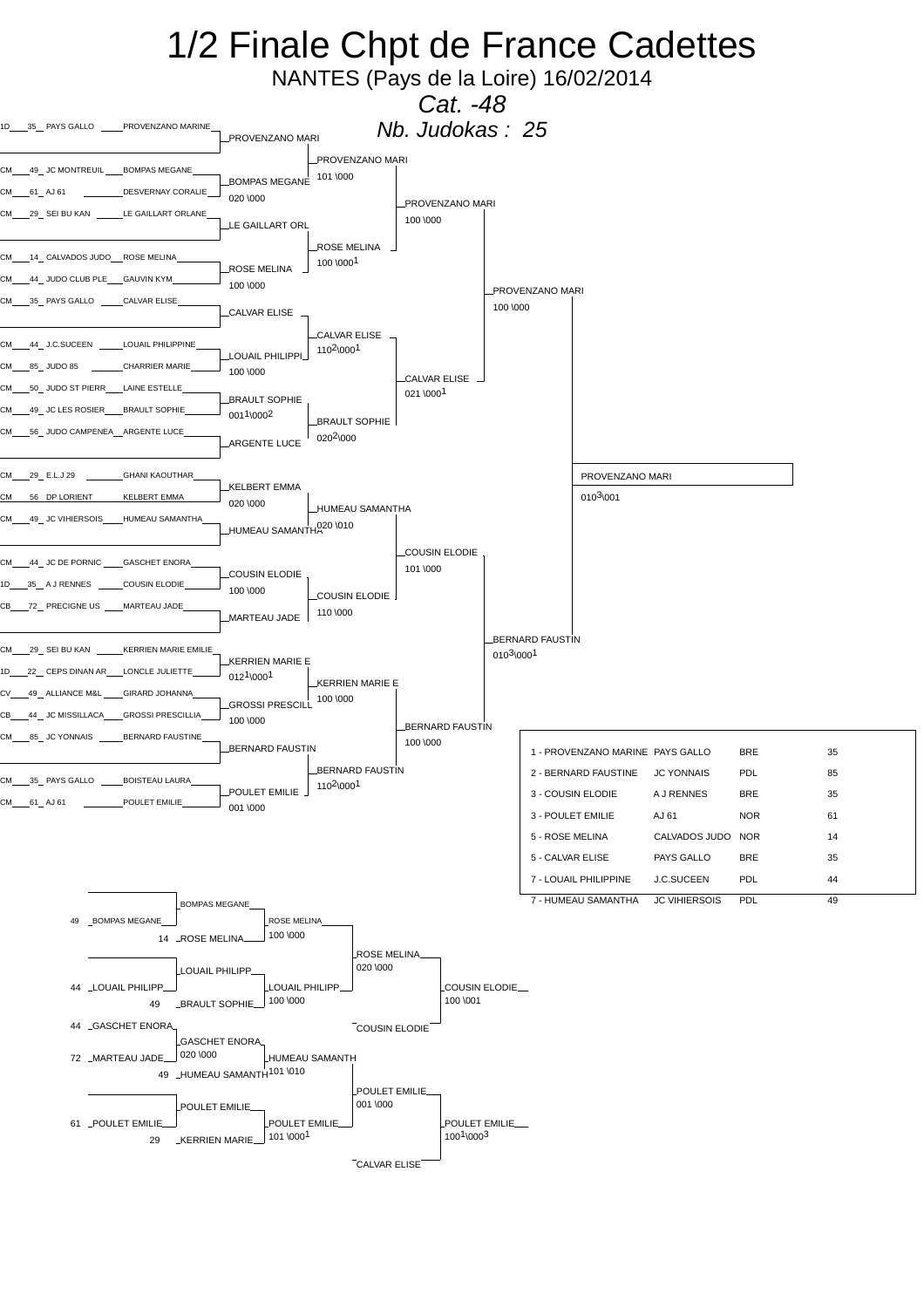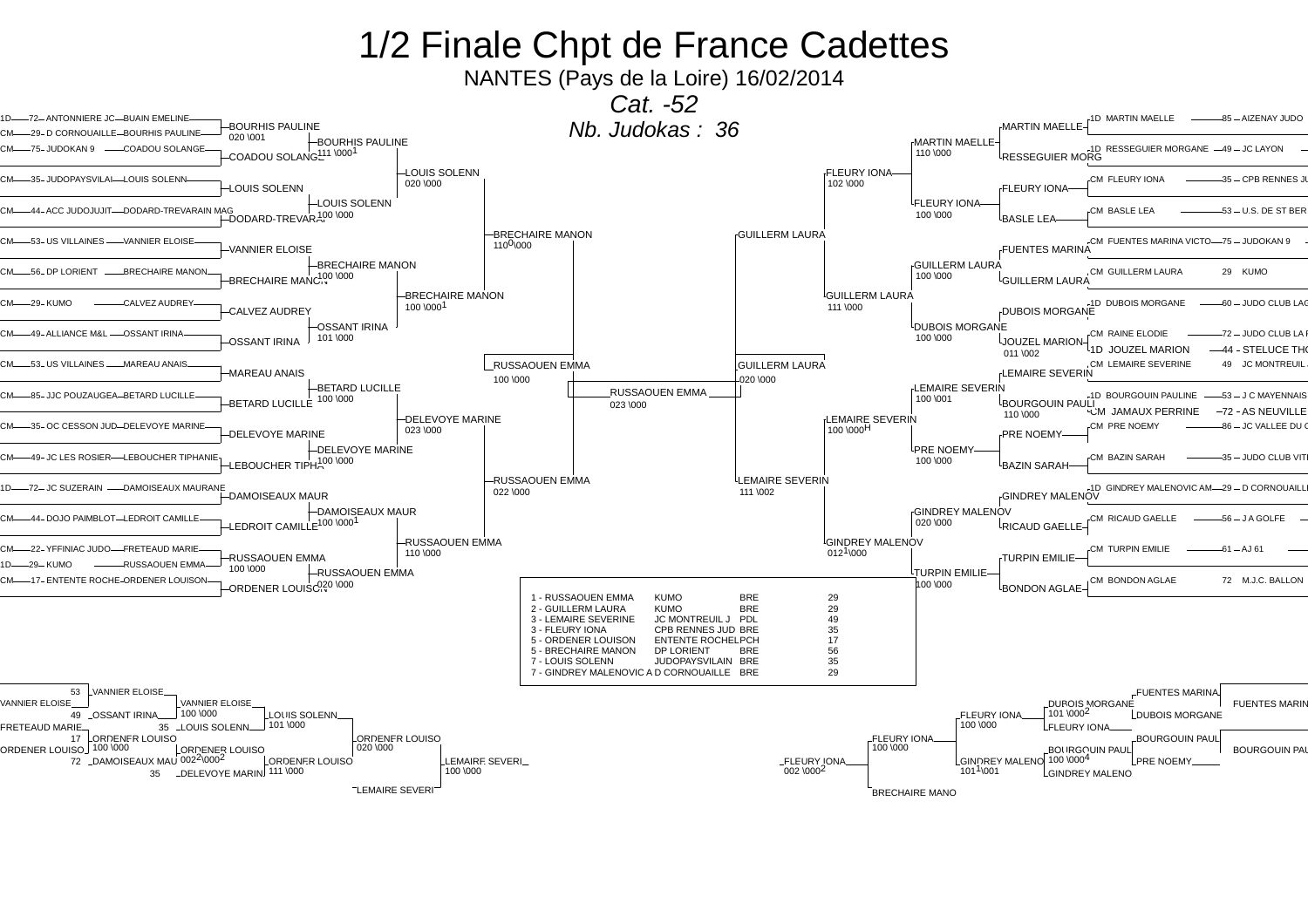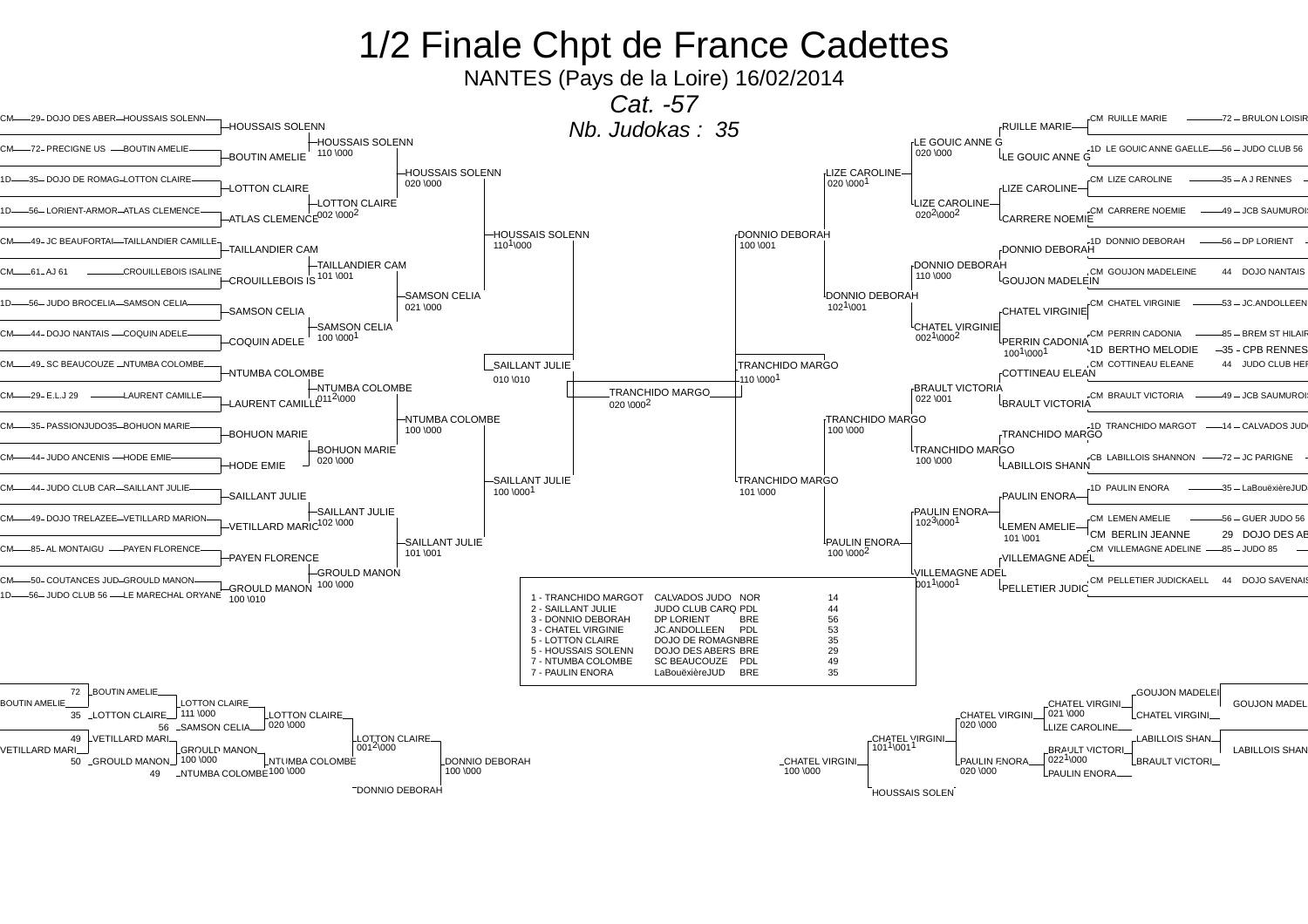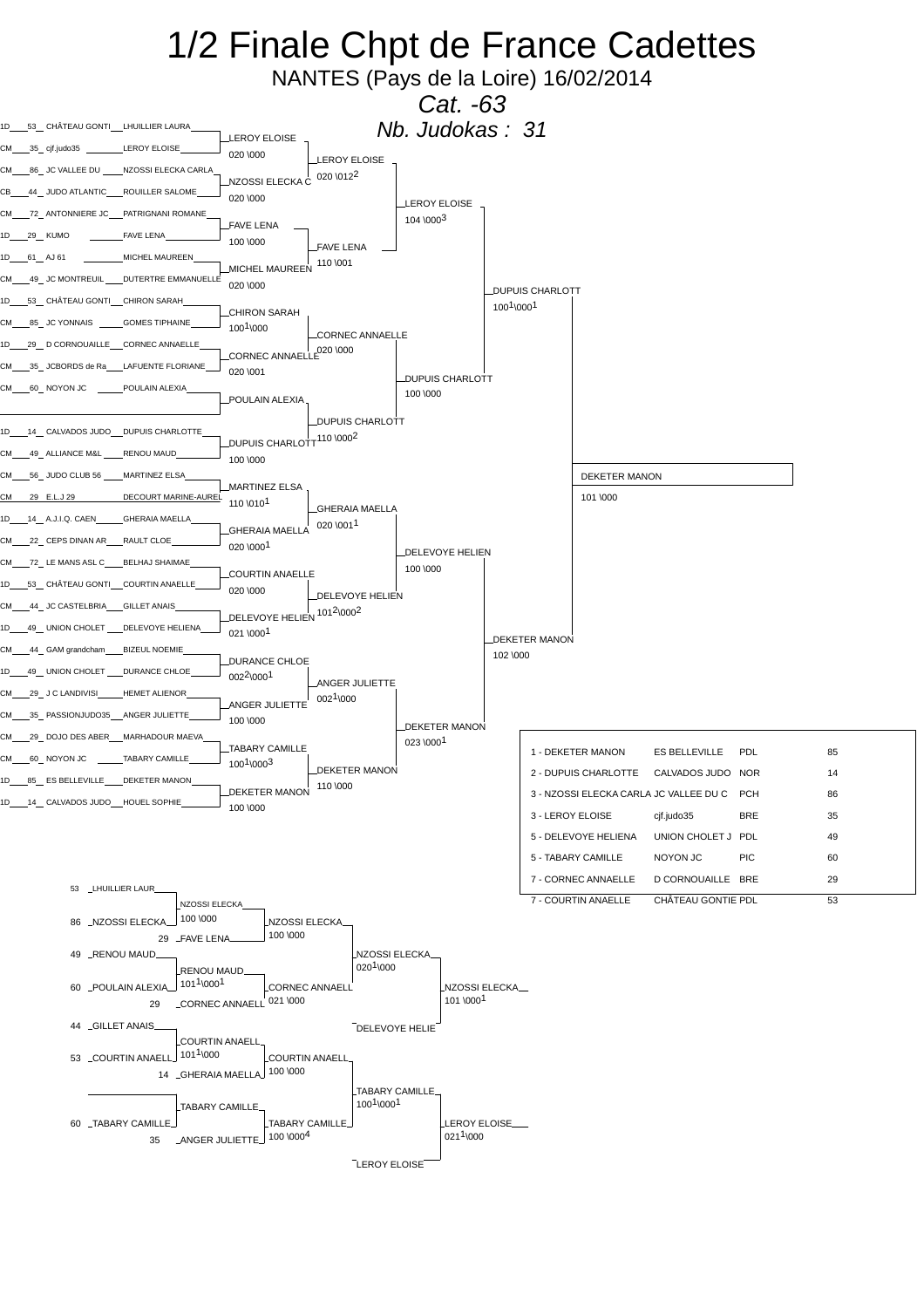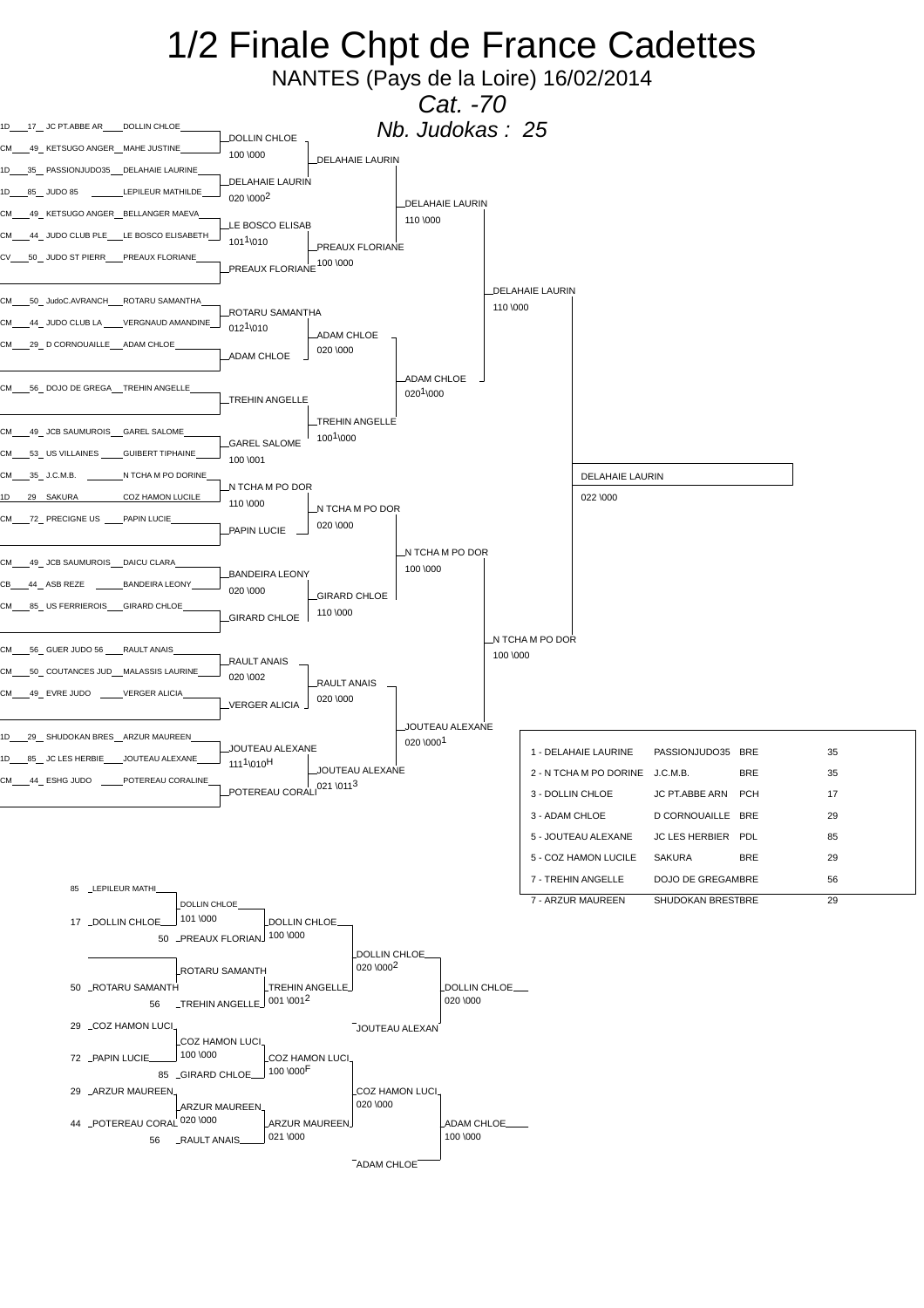